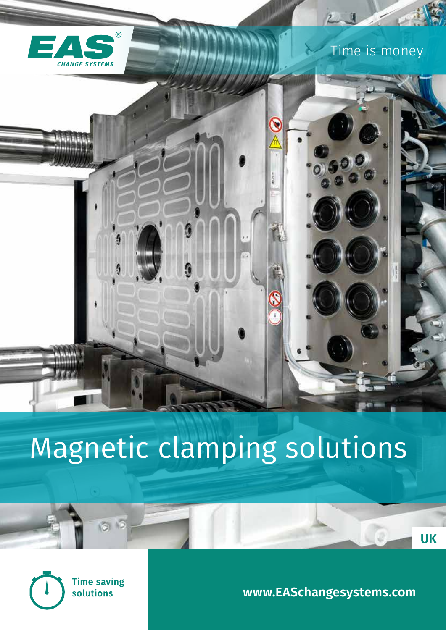

# Magnetic clamping solutions



**Time saving** solutions

 $600$ 

**www.EASchangesystems.com**

**UK**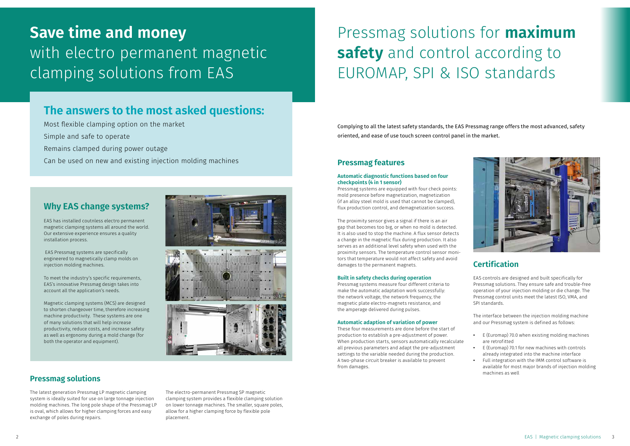### **Why EAS change systems?**

EAS has installed coutnless electro permanent magnetic clamping systems all around the world. Our extensive experience ensures a quality installation process.

 EAS Pressmag systems are specifically engineered to magnetically clamp molds on injection molding machines.

To meet the industry's specific requirements, EAS's innovative Pressmag design takes into account all the application's needs.

Magnetic clamping systems (MCS) are designed to shorten changeover time, therefore increasing machine productivity. These systems are one of many solutions that will help increase productivity, reduce costs, and increase safety as well as ergonomy during a mold change (for both the operator and equipment).

## **Pressmag solutions**

The latest generation Pressmag LP magnetic clamping system is ideally suited for use on large tonnage injection molding machines. The long pole shape of the Pressmag LP is oval, which allows for higher clamping forces and easy exchange of poles during repairs.

The electro-permanent Pressmag SP magnetic clamping system provides a flexible clamping solution on lower tonnage machines. The smaller, square poles, allow for a higher clamping force by flexible pole placement.

Complying to all the latest safety standards, the EAS Pressmag range offers the most advanced, safety oriented, and ease of use touch screen control panel in the market.

### **Pressmag features**

#### **Automatic diagnostic functions based on four checkpoints (4 in 1 sensor)**

Pressmag systems are equipped with four check points: mold presence before magnetization, magnetization (if an alloy steel mold is used that cannot be clamped), flux production control, and demagnetization success.

The proximity sensor gives a signal if there is an air gap that becomes too big, or when no mold is detected. It is also used to stop the machine. A flux sensor detects a change in the magnetic flux during production. It also serves as an additional level safety when used with the proximity sensors. The temperature control sensor monitors that temperature would not affect safety and avoid damages to the permanent magnets.

#### **Built in safety checks during operation**

Pressmag systems measure four different criteria to make the automatic adaptation work successfully: the network voltage, the network frequency, the magnetic plate electro-magnets resistance, and the amperage delivered during pulses.

#### **Automatic adaption of variation of power**

These four measurements are done before the start of production to establish a pre-adjustment of power. When production starts, sensors automatically recalculate all previous parameters and adapt the pre-adjustment settings to the variable needed during the production. A two-phase circuit breaker is available to prevent from damages.



### **Certification**

EAS controls are designed and built specifically for Pressmag solutions. They ensure safe and trouble-free operation of your injection molding or die change. The Pressmag control units meet the latest ISO, VMA, and SPI standards.

The interface between the injection molding machine and our Pressmag system is defined as follows:

- **•** E (Euromap) 70.0 when existing molding machines are retrofitted
- **•** E (Euromap) 70.1 for new machines with controls already integrated into the machine interface **•** Full integration with the IMM control software is available for most major brands of injection molding machines as well

## **Save time and money**  with electro permanent magnetic clamping solutions from EAS

## Pressmag solutions for **maximum safety** and control according to EUROMAP, SPI & ISO standards

## **The answers to the most asked questions:**

Most flexible clamping option on the market

Simple and safe to operate

Remains clamped during power outage

Can be used on new and existing injection molding machines

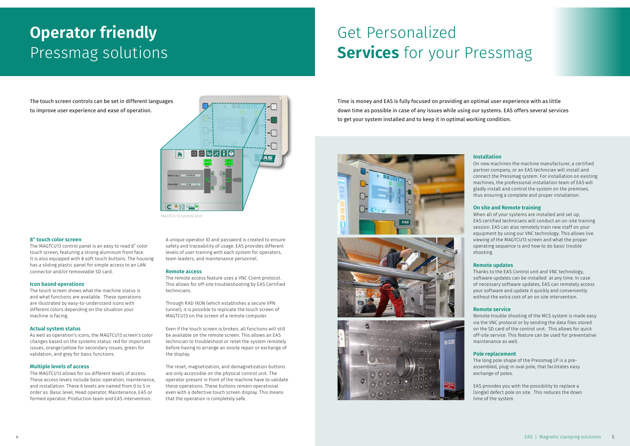## Get Personalized **Services** for your Pressmag

## **Operator friendly**  Pressmag solutions

The touch screen controls can be set in different languages to improve user experience and ease of operation.

#### **8" touch color screen**

The MAGTCU13 control panel is an easy to read 8" color touch screen, featuring a strong aluminum front face. It is also equipped with 8 soft touch buttons. The housing has a sliding plastic panel for simple access to an LAN connector and/or removeable SD card.

#### **Icon based operations**

The touch screen shows what the machine status is and what functions are available. These operations are illustrated by easy-to-understand icons with different colors depending on the situation your machine is facing.

#### **Actual system status**

As well as operation's icons, the MAGTCU13 screen's color changes based on the systems status: red for important issues, orange/yellow for secondary issues, green for validation, and grey for basic functions.

#### **Multiple levels of access**

The MAGTCU13 allows for six different levels of access. These access levels include basic operation, maintenance, and installation. These 6 levels are named from 0 to 5 in order as: Basic level, Head operator, Maintenance, EAS or formed operator, Production team and EAS intervention.

A unique operator ID and password is created to ensure safety and traceability of usage. EAS provides different levels of user training with each system for operators, team leaders, and maintenance personnel.

#### **Remote access**

The remote access feature uses a VNC Client protocol. This allows for off-site troubleshooting by EAS Certified technicians.

Through RAD IXON (which establishes a secure VPN tunnel), it is possible to replicate the touch screen of MAGTCU13 on the screen of a remote computer.

Even if the touch screen is broken, all functions will still be available on the remote screen. This allows an EAS technician to troubleshoot or reset the system remotely before having to arrange an onsite repair or exchange of the display.

The reset, magnetization, and demagnetization buttons are only accessible on the physical control unit. The operator present in front of the machine have to validate these operations. These buttons remain operational even with a defective touch screen display. This means that the operation is completely safe.

Time is money and EAS is fully focused on providing an optimal user experience with as little down time as possible in case of any issues while using our systems. EAS offers several services to get your system installed and to keep it in optimal working condition.



#### **Installation**

On new machines the machine manufacturer, a certified partner company, or an EAS technician will install and connect the Pressmag system. For installation on existing machines, the professional installation team of EAS will gladly install and control the system on the premises, thus ensuring a complete and proper installation.

#### **On site and Remote training**

When all of your systems are installed and set up, EAS certified technicians will conduct an on-site training session. EAS can also remotely train new staff on your equipment by using our VNC technology. This allows live viewing of the MAGTCU13 screen and what the proper operating sequence is and how to do basic trouble shooting.

#### **Remote updates**

Thanks to the EAS Control unit and VNC technology, software updates can be installed at any time. In case of necessary software updates, EAS can remotely access your software and update it quickly and conveniently without the extra cost of an on site intervention.

#### **Remote service**

Remote trouble shooting of the MCS system is made easy via the VNC protocol or by sending the data files stored on the SD card of the control unit. This allows for quick off-site service. This feature can be used for preventative maintenance as well.

#### **Pole replacement**

The long pole shape of the Pressmag LP is a preassembled, plug-in oval pole, that facilitates easy exchange of poles.

EAS provides you with the possibility to replace a (single) defect pole on site. This reduces the down time of the system.



*MAGTCU 13 Control Unit*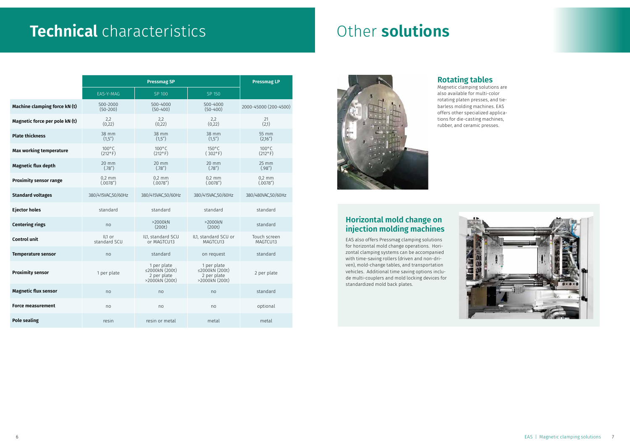## **Rotating tables**

Magnetic clamping solutions are also available for multi-color rotating platen presses, and tiebarless molding machines. EAS offers other specialized applications for die-casting machines, rubber, and ceramic presses.

### **Horizontal mold change on injection molding machines**

EAS also offers Pressmag clamping solutions for horizontal mold change operations. Horizontal clamping systems can be accompanied with time-saving rollers (driven and non-driven), mold-change tables, and transportation vehicles. Additional time saving options include multi-couplers and mold locking devices for standardized mold back plates.





## **Technical** characteristics **Constructions**

|                                | <b>Pressmag SP</b>                  |                                                                      |                                                                      | <b>Pressmag LP</b>                  |
|--------------------------------|-------------------------------------|----------------------------------------------------------------------|----------------------------------------------------------------------|-------------------------------------|
|                                | EAS-Y-MAG                           | SP 100                                                               | SP 150                                                               |                                     |
| Machine clamping force kN (t)  | 500-2000<br>$(50-200)$              | 500-4000<br>$(50-400)$                                               | 500-4000<br>$(50-400)$                                               | 2000-45000 (200-4500)               |
| Magnetic force per pole kN (t) | 2,2<br>(0, 22)                      | 2,2<br>(0, 22)                                                       | 2,2<br>(0, 22)                                                       | 21<br>(2,1)                         |
| <b>Plate thickness</b>         | 38 mm<br>(1,5")                     | 38 mm<br>(1,5")                                                      | 38 mm<br>(1,5")                                                      | 55 mm<br>(2,16")                    |
| <b>Max working temperature</b> | $100^{\circ}$ C<br>$(212^{\circ}F)$ | $100^{\circ}$ C<br>$(212^{\circ}F)$                                  | $150^{\circ}$ C<br>$(302^{\circ}F)$                                  | $100^{\circ}$ C<br>$(212^{\circ}F)$ |
| <b>Magnetic flux depth</b>     | $20$ mm<br>(.78")                   | 20 mm<br>(.78")                                                      | 20 mm<br>(.78")                                                      | $25$ mm<br>(.98")                   |
| <b>Proximity sensor range</b>  | $0,2$ mm<br>(.0078")                | $0,2$ mm<br>(.0078")                                                 | $0,2$ mm<br>(.0078")                                                 | $0,2$ mm<br>(.0078")                |
| <b>Standard voltages</b>       | 380/415VAC,50/60Hz                  | 380/415VAC,50/60Hz                                                   | 380/415VAC,50/60Hz                                                   | 380/480VAC,50/60Hz                  |
| <b>Ejector holes</b>           | standard                            | standard                                                             | standard                                                             | standard                            |
| <b>Centering rings</b>         | no                                  | >2000kN<br>(200t)                                                    | >2000kN<br>(200t)                                                    | standard                            |
| <b>Control unit</b>            | IL1 or<br>standard SCU              | IL1, standard SCU<br>or MAGTCU13                                     | IL1, standard SCU or<br>MAGTCU13                                     | Touch screen<br>MAGTCU13            |
| <b>Temperature sensor</b>      | no                                  | standard                                                             | on request                                                           | standard                            |
| <b>Proximity sensor</b>        | 1 per plate                         | 1 per plate<br>$\leq$ 2000kN (200t)<br>2 per plate<br>>2000kN (200t) | 1 per plate<br>$\leq$ 2000kN (200t)<br>2 per plate<br>>2000kN (200t) | 2 per plate                         |
| <b>Magnetic flux sensor</b>    | no                                  | no                                                                   | no                                                                   | standard                            |
| <b>Force measurement</b>       | no                                  | no                                                                   | no                                                                   | optional                            |
| <b>Pole sealing</b>            | resin                               | resin or metal                                                       | metal                                                                | metal                               |